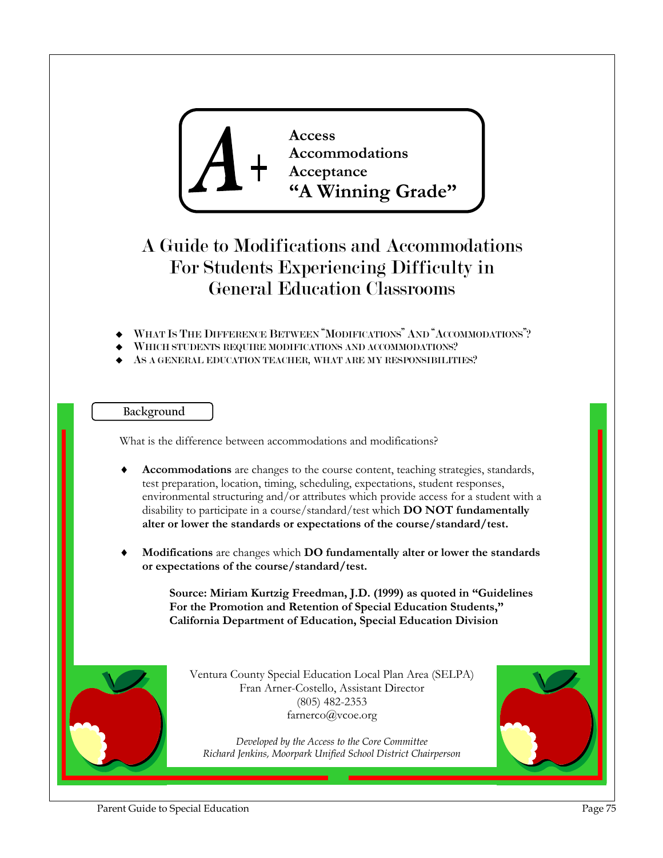

# A Guide to Modifications and Accommodations For Students Experiencing Difficulty in General Education Classrooms

- WHAT IS THE DIFFERENCE BETWEEN "MODIFICATIONS" AND "ACCOMMODATIONS"?
- WHICH STUDENTS REQUIRE MODIFICATIONS AND ACCOMMODATIONS?
- AS A GENERAL EDUCATION TEACHER, WHAT ARE MY RESPONSIBILITIES?

## **Background**

What is the difference between accommodations and modifications?

- Accommodations are changes to the course content, teaching strategies, standards, test preparation, location, timing, scheduling, expectations, student responses, environmental structuring and/or attributes which provide access for a student with a disability to participate in a course/standard/test which **DO NOT fundamentally alter or lower the standards or expectations of the course/standard/test.**
- ♦ **Modifications** are changes which **DO fundamentally alter or lower the standards or expectations of the course/standard/test.**

**Source: Miriam Kurtzig Freedman, J.D. (1999) as quoted in "Guidelines For the Promotion and Retention of Special Education Students," California Department of Education, Special Education Division** 



Ventura County Special Education Local Plan Area (SELPA) Fran Arner-Costello, Assistant Director (805) 482-2353 farnerco@vcoe.org



*Developed by the Access to the Core Committee Richard Jenkins, Moorpark Unified School District Chairperson*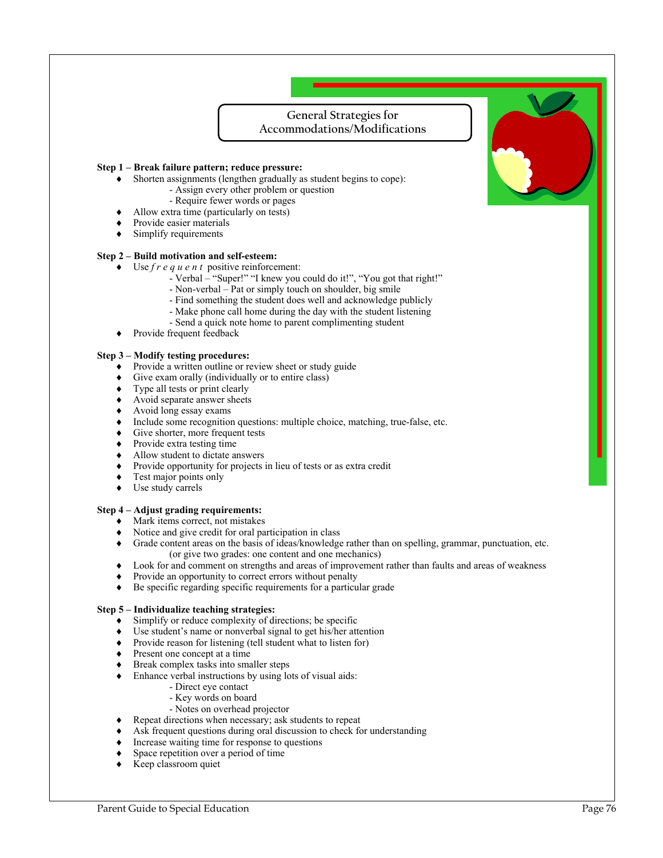## **General Strategies for Accommodations/Modifications**

#### **Step 1 – Break failure pattern; reduce pressure:**

- ♦ Shorten assignments (lengthen gradually as student begins to cope):
	- Assign every other problem or question
	- Require fewer words or pages
- Allow extra time (particularly on tests)
- Provide easier materials
- $\bullet$  Simplify requirements

#### **Step 2 – Build motivation and self-esteem:**

- ♦ Use *f r e q u e n t* positive reinforcement:
	- Verbal "Super!" "I knew you could do it!", "You got that right!"
	- Non-verbal Pat or simply touch on shoulder, big smile
	- Find something the student does well and acknowledge publicly
	- Make phone call home during the day with the student listening
	- Send a quick note home to parent complimenting student
- Provide frequent feedback

#### **Step 3 – Modify testing procedures:**

- ♦ Provide a written outline or review sheet or study guide
- Give exam orally (individually or to entire class)
- Type all tests or print clearly
- ♦ Avoid separate answer sheets
- Avoid long essay exams
- Include some recognition questions: multiple choice, matching, true-false, etc.
- ♦ Give shorter, more frequent tests
- Provide extra testing time
- Allow student to dictate answers
- Provide opportunity for projects in lieu of tests or as extra credit
- Test major points only
- ♦ Use study carrels

#### **Step 4 – Adjust grading requirements:**

- Mark items correct, not mistakes
- Notice and give credit for oral participation in class
- ♦ Grade content areas on the basis of ideas/knowledge rather than on spelling, grammar, punctuation, etc. (or give two grades: one content and one mechanics)
- ♦ Look for and comment on strengths and areas of improvement rather than faults and areas of weakness
- Provide an opportunity to correct errors without penalty
- ♦ Be specific regarding specific requirements for a particular grade

#### **Step 5 – Individualize teaching strategies:**

- Simplify or reduce complexity of directions; be specific
- ♦ Use student's name or nonverbal signal to get his/her attention
- ♦ Provide reason for listening (tell student what to listen for)
- ♦ Present one concept at a time
- Break complex tasks into smaller steps
- ♦ Enhance verbal instructions by using lots of visual aids:
	- Direct eye contact
		- Key words on board
	- Notes on overhead projector
- Repeat directions when necessary; ask students to repeat
- Ask frequent questions during oral discussion to check for understanding
- Increase waiting time for response to questions
- Space repetition over a period of time
- Keep classroom quiet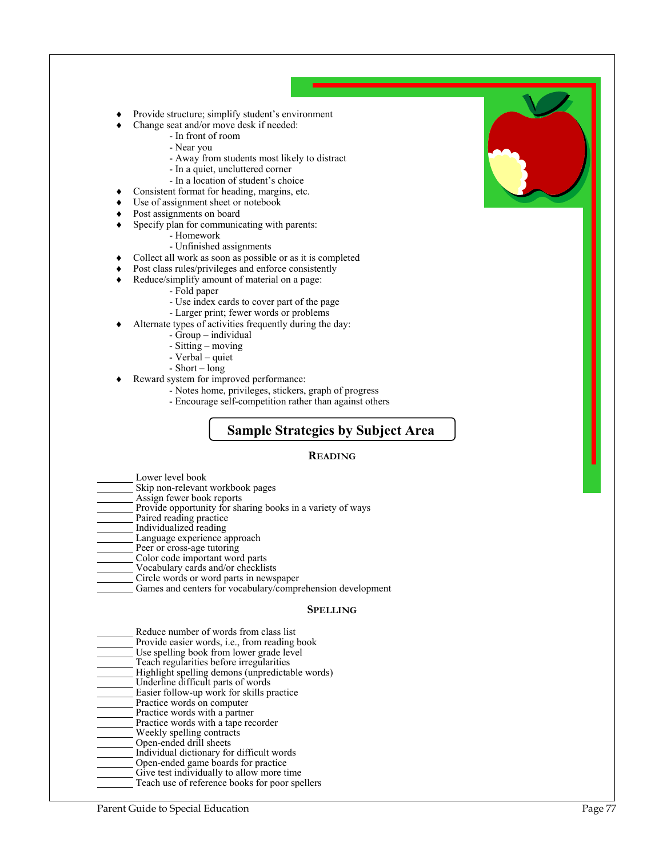- Provide structure; simplify student's environment
	- Change seat and/or move desk if needed:
		- In front of room
			- Near you
			- Away from students most likely to distract
			- In a quiet, uncluttered corner
			- In a location of student's choice
	- Consistent format for heading, margins, etc.
- Use of assignment sheet or notebook
- Post assignments on board
- Specify plan for communicating with parents:
	- Homework
	- Unfinished assignments
- Collect all work as soon as possible or as it is completed
- Post class rules/privileges and enforce consistently
- Reduce/simplify amount of material on a page:
	- Fold paper
	- Use index cards to cover part of the page
	- Larger print; fewer words or problems
- Alternate types of activities frequently during the day:
	- Group individual
	- Sitting moving
	- Verbal quiet
	- Short long
- Reward system for improved performance:
	- Notes home, privileges, stickers, graph of progress
		- Encourage self-competition rather than against others

## **Sample Strategies by Subject Area**

## **READING**

- Lower level book
- Skip non-relevant workbook pages
- Assign fewer book reports
- Provide opportunity for sharing books in a variety of ways
- Paired reading practice
- Individualized reading Language experience approach
- Peer or cross-age tutoring
- Color code important word parts
- Vocabulary cards and/or checklists
- Circle words or word parts in newspaper
- Games and centers for vocabulary/comprehension development

## **SPELLING**

- Reduce number of words from class list
- Provide easier words, i.e., from reading book
- Use spelling book from lower grade level
- Teach regularities before irregularities
- Highlight spelling demons (unpredictable words)
- Underline difficult parts of words Easier follow-up work for skills practice
- 
- Practice words on computer Practice words with a partner
- Practice words with a tape recorder
- Weekly spelling contracts
- Open-ended drill sheets
- Individual dictionary for difficult words
- Open-ended game boards for practice
- Give test individually to allow more time
- Teach use of reference books for poor spellers